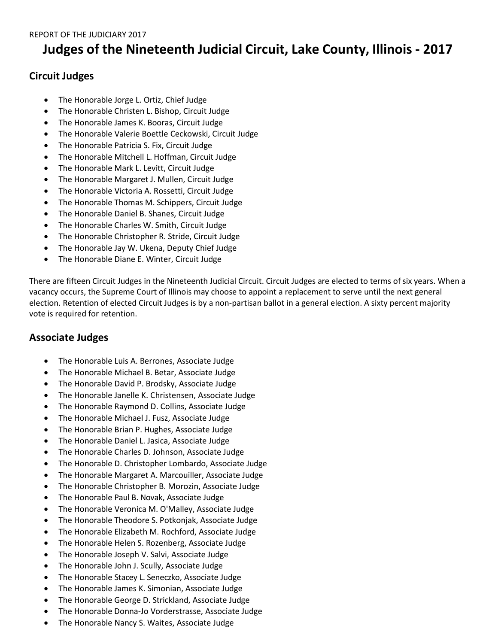## **Judges of the Nineteenth Judicial Circuit, Lake County, Illinois - 2017**

## **Circuit Judges**

- The Honorable Jorge L. Ortiz, Chief Judge
- The Honorable Christen L. Bishop, Circuit Judge
- The Honorable James K. Booras, Circuit Judge
- The Honorable Valerie Boettle Ceckowski, Circuit Judge
- The Honorable Patricia S. Fix, Circuit Judge
- The Honorable Mitchell L. Hoffman, Circuit Judge
- The Honorable Mark L. Levitt, Circuit Judge
- The Honorable Margaret J. Mullen, Circuit Judge
- The Honorable Victoria A. Rossetti, Circuit Judge
- The Honorable Thomas M. Schippers, Circuit Judge
- The Honorable Daniel B. Shanes, Circuit Judge
- The Honorable Charles W. Smith, Circuit Judge
- The Honorable Christopher R. Stride, Circuit Judge
- The Honorable Jay W. Ukena, Deputy Chief Judge
- The Honorable Diane E. Winter, Circuit Judge

There are fifteen Circuit Judges in the Nineteenth Judicial Circuit. Circuit Judges are elected to terms of six years. When a vacancy occurs, the Supreme Court of Illinois may choose to appoint a replacement to serve until the next general election. Retention of elected Circuit Judges is by a non-partisan ballot in a general election. A sixty percent majority vote is required for retention.

## **Associate Judges**

- The Honorable Luis A. Berrones, Associate Judge
- The Honorable Michael B. Betar, Associate Judge
- The Honorable David P. Brodsky, Associate Judge
- The Honorable Janelle K. Christensen, Associate Judge
- The Honorable Raymond D. Collins, Associate Judge
- The Honorable Michael J. Fusz, Associate Judge
- The Honorable Brian P. Hughes, Associate Judge
- The Honorable Daniel L. Jasica, Associate Judge
- The Honorable Charles D. Johnson, Associate Judge
- The Honorable D. Christopher Lombardo, Associate Judge
- The Honorable Margaret A. Marcouiller, Associate Judge
- The Honorable Christopher B. Morozin, Associate Judge
- The Honorable Paul B. Novak, Associate Judge
- The Honorable Veronica M. O'Malley, Associate Judge
- The Honorable Theodore S. Potkonjak, Associate Judge
- The Honorable Elizabeth M. Rochford, Associate Judge
- The Honorable Helen S. Rozenberg, Associate Judge
- The Honorable Joseph V. Salvi, Associate Judge
- The Honorable John J. Scully, Associate Judge
- The Honorable Stacey L. Seneczko, Associate Judge
- The Honorable James K. Simonian, Associate Judge
- The Honorable George D. Strickland, Associate Judge
- The Honorable Donna-Jo Vorderstrasse, Associate Judge
- The Honorable Nancy S. Waites, Associate Judge